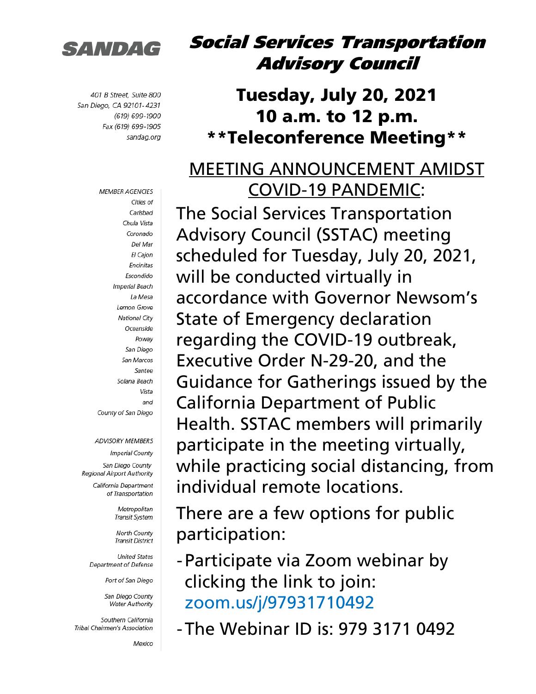

401 B Street, Suite 800 San Diego, CA 92101-4231 (619) 699-1900 Fax (619) 699-1905 sandag.org

> **MEMBER AGENCIES** Cities of Carlsbad Chula Vista Coronado Del Mar El Cajon Encinitas Escondido Imperial Beach La Mesa Lemon Grove **National City** Oceanside Powav San Diego San Marcos Santee Solana Beach Vista and County of San Diego

#### **ADVISORY MEMBERS**

**Imperial County** San Diego County Regional Airport Authority

> California Department of Transportation

> > Metropolitan Transit System

**North County Transit District** 

**United States** Department of Defense

Port of San Diego

San Diego County **Water Authority** 

Southern California Tribal Chairmen's Association

Mexico

#### Social Services Transportation Advisory Council

#### Tuesday, July 20, 2021 10 a.m. to 12 p.m. \*\*Teleconference Meeting\*\*

#### MEETING ANNOUNCEMENT AMIDST COVID-19 PANDEMIC:

The Social Services Transportation Advisory Council (SSTAC) meeting scheduled for Tuesday, July 20, 2021, will be conducted virtually in accordance with Governor Newsom's State of Emergency declaration regarding the COVID-19 outbreak, Executive Order N-29-20, and the Guidance for Gatherings issued by the California Department of Public Health. SSTAC members will primarily participate in the meeting virtually, while practicing social distancing, from individual remote locations.

There are a few options for public participation:

-Participate via Zoom webinar by clicking the link to join: [zoom.us/j/97931710492](https://zoom.us/j/97931710492)

-The Webinar ID is: 979 3171 0492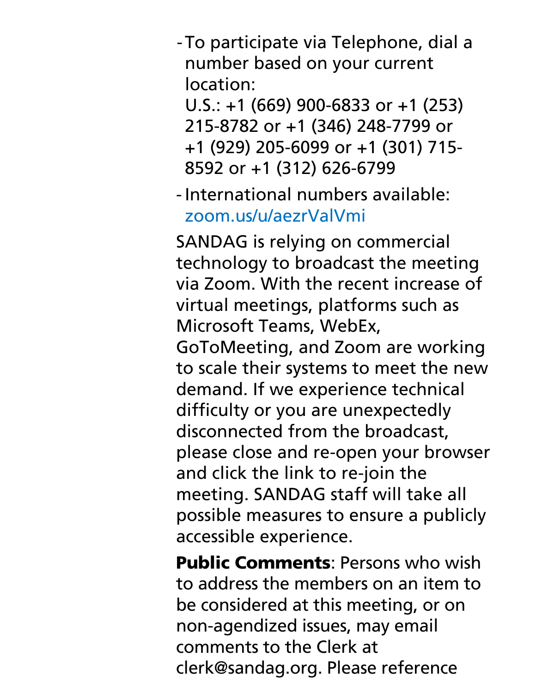-To participate via Telephone, dial a number based on your current location:

U.S.: +1 (669) 900-6833 or +1 (253) 215-8782 or +1 (346) 248-7799 or +1 (929) 205-6099 or +1 (301) 715- 8592 or +1 (312) 626-6799

International numbers available: [zoom.us/u/aezrValVmi](https://zoom.us/u/aezrValVmi)

SANDAG is relying on commercial technology to broadcast the meeting via Zoom. With the recent increase of virtual meetings, platforms such as Microsoft Teams, WebEx, GoToMeeting, and Zoom are working to scale their systems to meet the new demand. If we experience technical difficulty or you are unexpectedly disconnected from the broadcast, please close and re-open your browser and click the link to re-join the meeting. SANDAG staff will take all possible measures to ensure a publicly accessible experience.

Public Comments: Persons who wish to address the members on an item to be considered at this meeting, or on non-agendized issues, may email comments to the Clerk at clerk@sandag.org. Please reference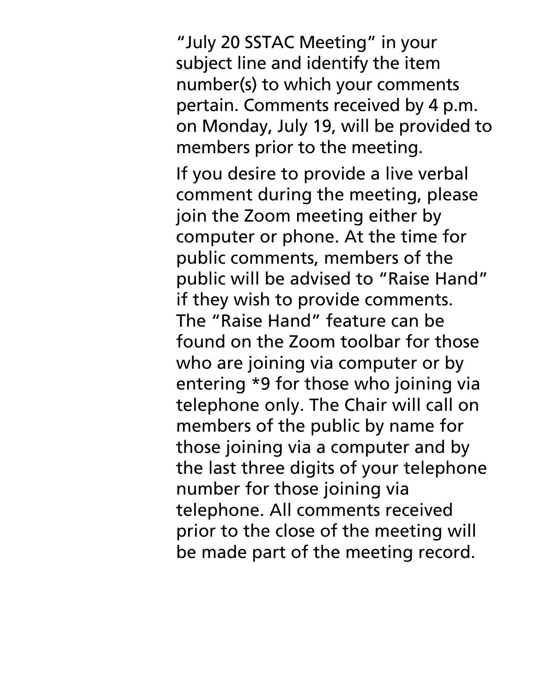"July 20 SSTAC Meeting" in your subject line and identify the item number(s) to which your comments pertain. Comments received by 4 p.m. on Monday, July 19, will be provided to members prior to the meeting.

If you desire to provide a live verbal comment during the meeting, please join the Zoom meeting either by computer or phone. At the time for public comments, members of the public will be advised to "Raise Hand" if they wish to provide comments. The "Raise Hand" feature can be found on the Zoom toolbar for those who are joining via computer or by entering \*9 for those who joining via telephone only. The Chair will call on members of the public by name for those joining via a computer and by the last three digits of your telephone number for those joining via telephone. All comments received prior to the close of the meeting will be made part of the meeting record.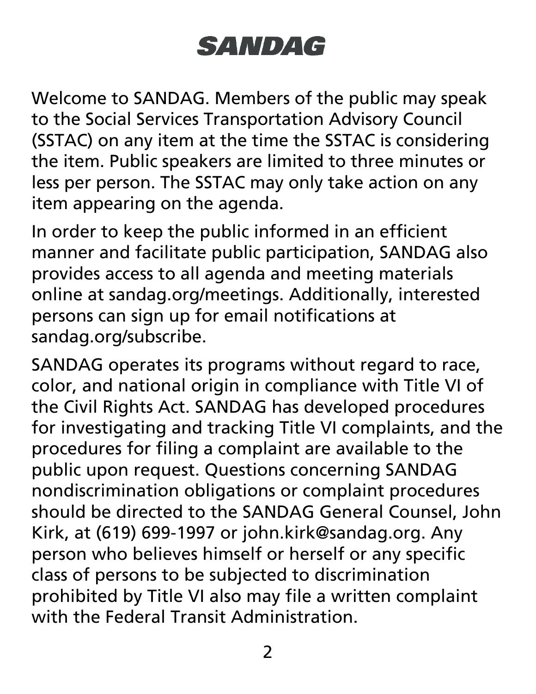## **SANDAG**

Welcome to SANDAG. Members of the public may speak to the Social Services Transportation Advisory Council (SSTAC) on any item at the time the SSTAC is considering the item. Public speakers are limited to three minutes or less per person. The SSTAC may only take action on any item appearing on the agenda.

In order to keep the public informed in an efficient manner and facilitate public participation, SANDAG also provides access to all agenda and meeting materials online at sandag.org/meetings. Additionally, interested persons can sign up for email notifications at sandag.org/subscribe.

SANDAG operates its programs without regard to race, color, and national origin in compliance with Title VI of the Civil Rights Act. SANDAG has developed procedures for investigating and tracking Title VI complaints, and the procedures for filing a complaint are available to the public upon request. Questions concerning SANDAG nondiscrimination obligations or complaint procedures should be directed to the SANDAG General Counsel, John Kirk, at (619) 699-1997 or john.kirk@sandag.org. Any person who believes himself or herself or any specific class of persons to be subjected to discrimination prohibited by Title VI also may file a written complaint with the Federal Transit Administration.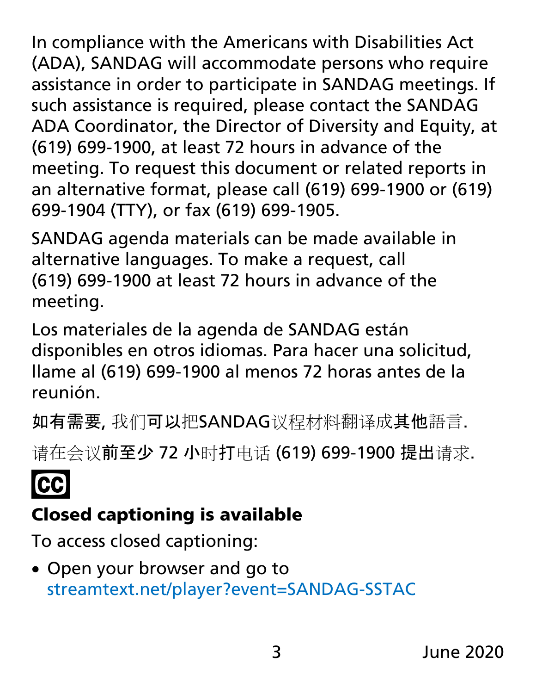In compliance with the Americans with Disabilities Act (ADA), SANDAG will accommodate persons who require assistance in order to participate in SANDAG meetings. If such assistance is required, please contact the SANDAG ADA Coordinator, the Director of Diversity and Equity, at (619) 699-1900, at least 72 hours in advance of the meeting. To request this document or related reports in an alternative format, please call (619) 699-1900 or (619) 699-1904 (TTY), or fax (619) 699-1905.

SANDAG agenda materials can be made available in alternative languages. To make a request, call (619) 699-1900 at least 72 hours in advance of the meeting.

Los materiales de la agenda de SANDAG están disponibles en otros idiomas. Para hacer una solicitud, llame al (619) 699-1900 al menos 72 horas antes de la reunión.

如有需要, 我们可以把SANDAG议程材料翻译成其他語言.

请在会议前至少 72 小时打电话 (619) 699-1900 提出请求.

# **CC**

## Closed captioning is available

To access closed captioning:

• Open your browser and go to [streamtext.net/player?event=SANDAG-SSTAC](https://www.streamtext.net/player?event=SANDAG-SSTAC)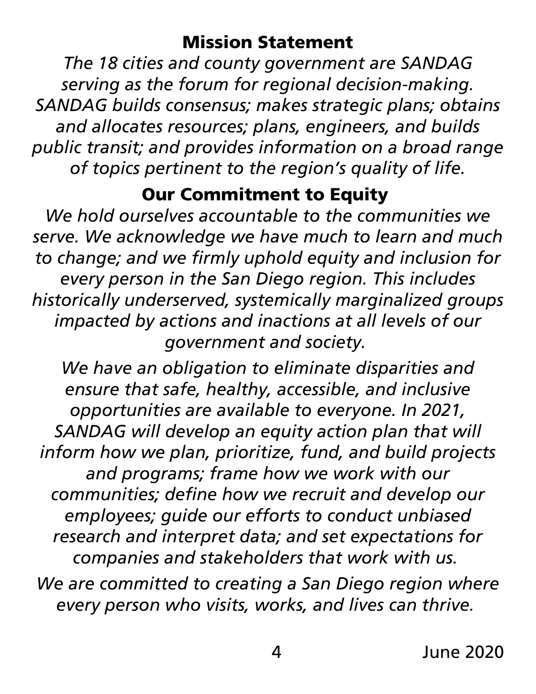#### Mission Statement

*The 18 cities and county government are SANDAG serving as the forum for regional decision-making. SANDAG builds consensus; makes strategic plans; obtains and allocates resources; plans, engineers, and builds public transit; and provides information on a broad range of topics pertinent to the region's quality of life.*

#### Our Commitment to Equity

*We hold ourselves accountable to the communities we serve. We acknowledge we have much to learn and much to change; and we firmly uphold equity and inclusion for every person in the San Diego region. This includes historically underserved, systemically marginalized groups impacted by actions and inactions at all levels of our government and society.*

*We have an obligation to eliminate disparities and ensure that safe, healthy, accessible, and inclusive opportunities are available to everyone. In 2021, SANDAG will develop an equity action plan that will inform how we plan, prioritize, fund, and build projects and programs; frame how we work with our communities; define how we recruit and develop our employees; guide our efforts to conduct unbiased research and interpret data; and set expectations for companies and stakeholders that work with us.*

*We are committed to creating a San Diego region where every person who visits, works, and lives can thrive.*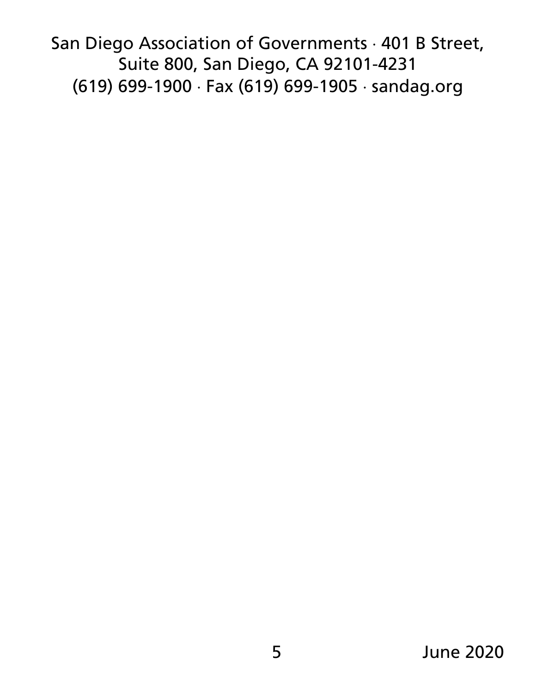San Diego Association of Governments ⋅ 401 B Street, Suite 800, San Diego, CA 92101-4231 (619) 699-1900 ⋅ Fax (619) 699-1905 ⋅ sandag.org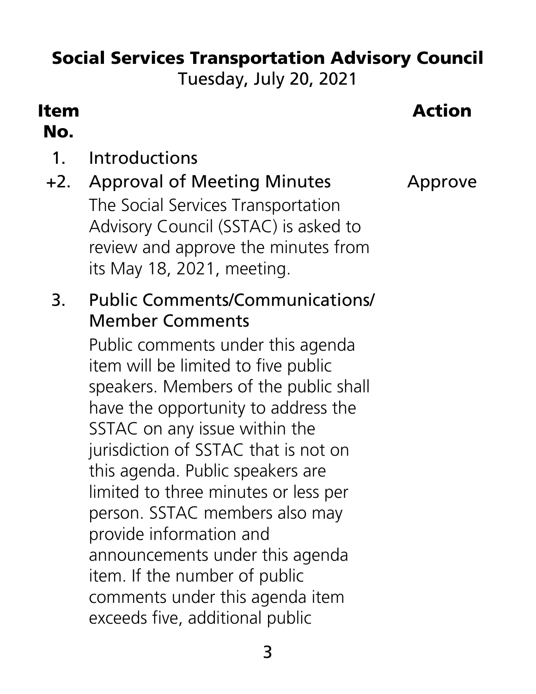## Social Services Transportation Advisory Council

Tuesday, July 20, 2021

#### Item No.

#### Action

1. Introductions

#### +2. Approval of Meeting Minutes Approve The Social Services Transportation Advisory Council (SSTAC) is asked to review and approve the minutes from its May 18, 2021, meeting.

3. Public Comments/Communications/ Member Comments

Public comments under this agenda item will be limited to five public speakers. Members of the public shall have the opportunity to address the SSTAC on any issue within the jurisdiction of SSTAC that is not on this agenda. Public speakers are limited to three minutes or less per person. SSTAC members also may provide information and announcements under this agenda item. If the number of public comments under this agenda item exceeds five, additional public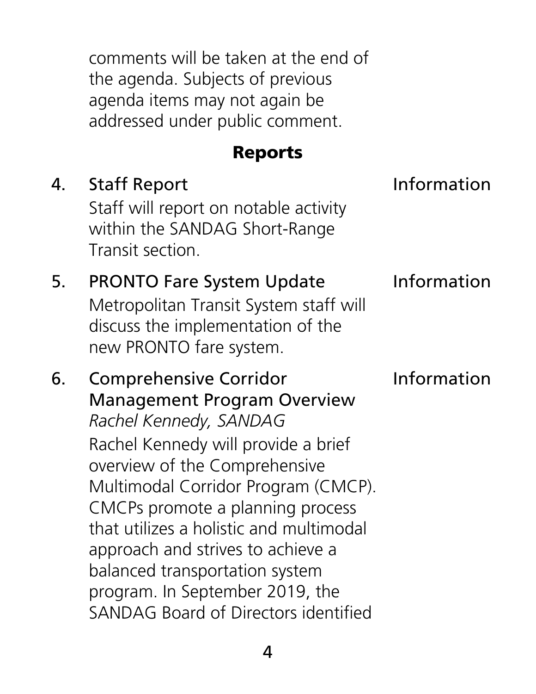comments will be taken at the end of the agenda. Subjects of previous agenda items may not again be addressed under public comment.

#### Reports

4. Staff Report **Information** Staff will report on notable activity within the SANDAG Short-Range Transit section. 5. PRONTO Fare System Update Information Metropolitan Transit System staff will discuss the implementation of the new PRONTO fare system. 6. Comprehensive Corridor Management Program Overview *Rachel Kennedy, SANDAG* Information Rachel Kennedy will provide a brief overview of the Comprehensive Multimodal Corridor Program (CMCP). CMCPs promote a planning process that utilizes a holistic and multimodal approach and strives to achieve a balanced transportation system program. In September 2019, the SANDAG Board of Directors identified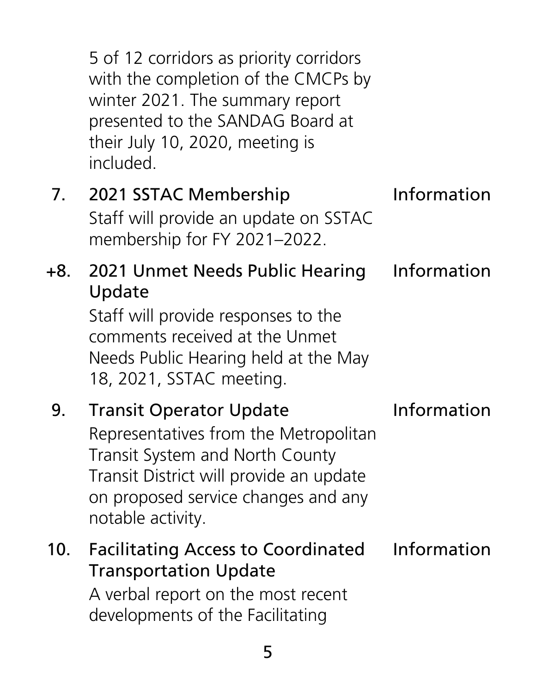|     | 5 of 12 corridors as priority corridors<br>with the completion of the CMCPs by<br>winter 2021. The summary report<br>presented to the SANDAG Board at<br>their July 10, 2020, meeting is<br>included.                    |             |
|-----|--------------------------------------------------------------------------------------------------------------------------------------------------------------------------------------------------------------------------|-------------|
| 7.  | 2021 SSTAC Membership<br>Staff will provide an update on SSTAC<br>membership for FY 2021-2022.                                                                                                                           | Information |
| +8. | 2021 Unmet Needs Public Hearing<br>Update<br>Staff will provide responses to the<br>comments received at the Unmet<br>Needs Public Hearing held at the May<br>18, 2021, SSTAC meeting.                                   | Information |
| 9.  | <b>Transit Operator Update</b><br>Representatives from the Metropolitan<br><b>Transit System and North County</b><br>Transit District will provide an update<br>on proposed service changes and any<br>notable activity. | Information |
| 10. | <b>Facilitating Access to Coordinated</b><br><b>Transportation Update</b><br>A verbal report on the most recent<br>developments of the Facilitating                                                                      | Information |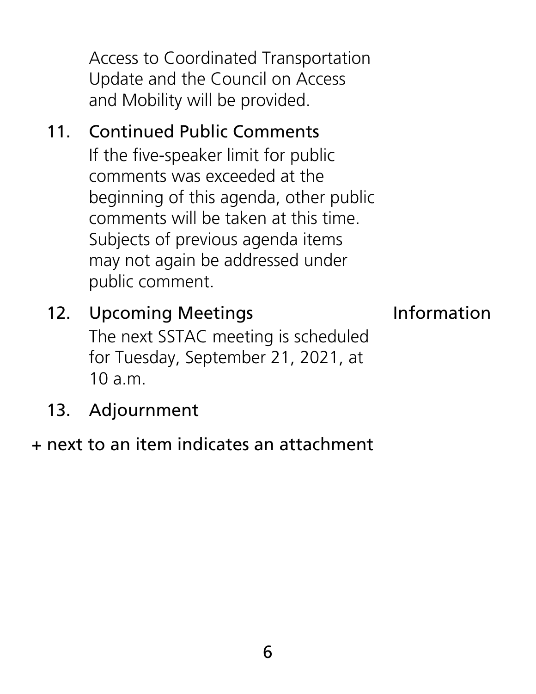Access to Coordinated Transportation Update and the Council on Access and Mobility will be provided.

11. Continued Public Comments If the five-speaker limit for public comments was exceeded at the beginning of this agenda, other public comments will be taken at this time. Subjects of previous agenda items may not again be addressed under public comment.

#### 12. Upcoming Meetings **Information** The next SSTAC meeting is scheduled for Tuesday, September 21, 2021, at 10 a.m.

13. Adjournment

#### + next to an item indicates an attachment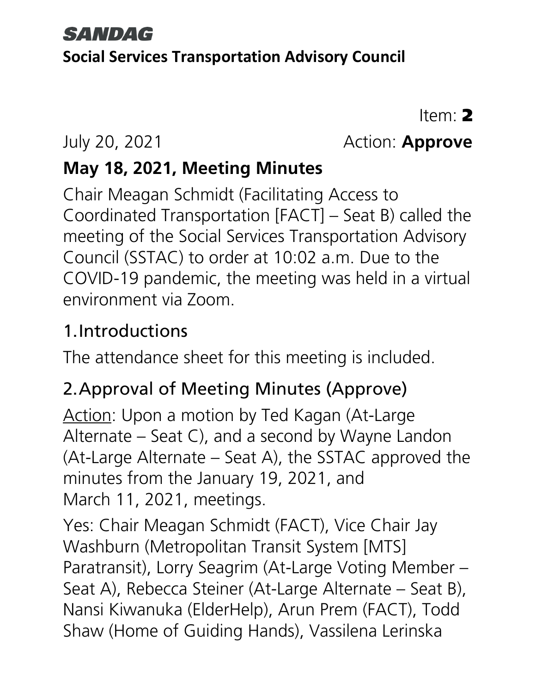#### **SANDAG**

#### **Social Services Transportation Advisory Council**

Item: 2

#### July 20, 2021 Action: **Approve**

#### **May 18, 2021, Meeting Minutes**

Chair Meagan Schmidt (Facilitating Access to Coordinated Transportation [FACT] – Seat B) called the meeting of the Social Services Transportation Advisory Council (SSTAC) to order at 10:02 a.m. Due to the COVID-19 pandemic, the meeting was held in a virtual environment via Zoom.

#### 1.Introductions

The attendance sheet for this meeting is included.

#### 2.Approval of Meeting Minutes (Approve)

Action: Upon a motion by Ted Kagan (At-Large Alternate – Seat C), and a second by Wayne Landon (At-Large Alternate – Seat A), the SSTAC approved the minutes from the January 19, 2021, and March 11, 2021, meetings.

Yes: Chair Meagan Schmidt (FACT), Vice Chair Jay Washburn (Metropolitan Transit System [MTS] Paratransit), Lorry Seagrim (At-Large Voting Member – Seat A), Rebecca Steiner (At-Large Alternate – Seat B), Nansi Kiwanuka (ElderHelp), Arun Prem (FACT), Todd Shaw (Home of Guiding Hands), Vassilena Lerinska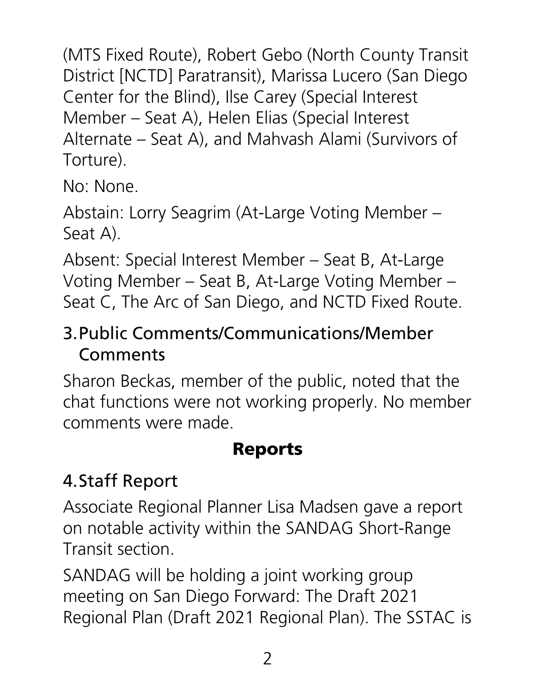(MTS Fixed Route), Robert Gebo (North County Transit District [NCTD] Paratransit), Marissa Lucero (San Diego Center for the Blind), Ilse Carey (Special Interest Member – Seat A), Helen Elias (Special Interest Alternate – Seat A), and Mahvash Alami (Survivors of Torture).

No: None.

Abstain: Lorry Seagrim (At-Large Voting Member – Seat A).

Absent: Special Interest Member – Seat B, At-Large Voting Member – Seat B, At-Large Voting Member – Seat C, The Arc of San Diego, and NCTD Fixed Route.

#### 3.Public Comments/Communications/Member Comments

Sharon Beckas, member of the public, noted that the chat functions were not working properly. No member comments were made.

#### Reports

### 4.Staff Report

Associate Regional Planner Lisa Madsen gave a report on notable activity within the SANDAG Short-Range Transit section.

SANDAG will be holding a joint working group meeting on San Diego Forward: The Draft 2021 Regional Plan (Draft 2021 Regional Plan). The SSTAC is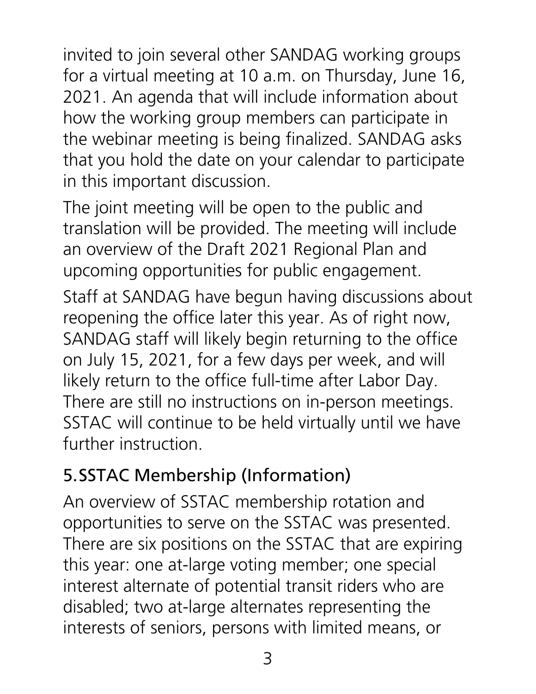invited to join several other SANDAG working groups for a virtual meeting at 10 a.m. on Thursday, June 16, 2021. An agenda that will include information about how the working group members can participate in the webinar meeting is being finalized. SANDAG asks that you hold the date on your calendar to participate in this important discussion.

The joint meeting will be open to the public and translation will be provided. The meeting will include an overview of the Draft 2021 Regional Plan and upcoming opportunities for public engagement.

Staff at SANDAG have begun having discussions about reopening the office later this year. As of right now, SANDAG staff will likely begin returning to the office on July 15, 2021, for a few days per week, and will likely return to the office full-time after Labor Day. There are still no instructions on in-person meetings. SSTAC will continue to be held virtually until we have further instruction.

#### 5.SSTAC Membership (Information)

An overview of SSTAC membership rotation and opportunities to serve on the SSTAC was presented. There are six positions on the SSTAC that are expiring this year: one at-large voting member; one special interest alternate of potential transit riders who are disabled; two at-large alternates representing the interests of seniors, persons with limited means, or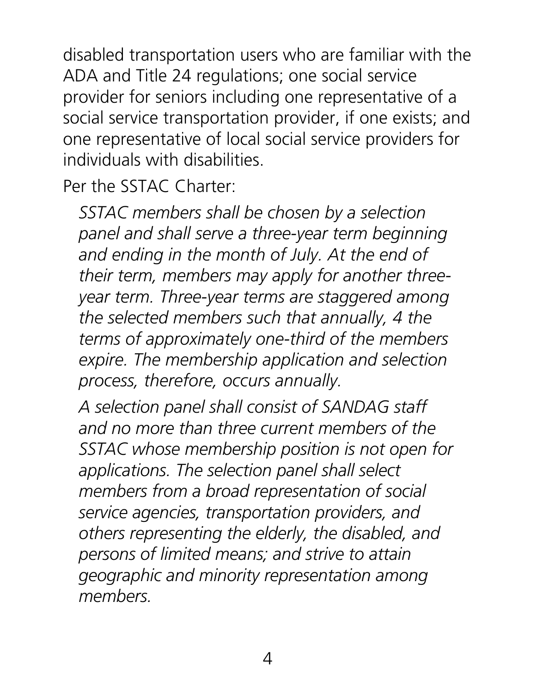disabled transportation users who are familiar with the ADA and Title 24 regulations; one social service provider for seniors including one representative of a social service transportation provider, if one exists; and one representative of local social service providers for individuals with disabilities.

Per the SSTAC Charter:

*SSTAC members shall be chosen by a selection panel and shall serve a three-year term beginning and ending in the month of July. At the end of their term, members may apply for another threeyear term. Three-year terms are staggered among the selected members such that annually, 4 the terms of approximately one-third of the members expire. The membership application and selection process, therefore, occurs annually.* 

*A selection panel shall consist of SANDAG staff and no more than three current members of the SSTAC whose membership position is not open for applications. The selection panel shall select members from a broad representation of social service agencies, transportation providers, and others representing the elderly, the disabled, and persons of limited means; and strive to attain geographic and minority representation among members.*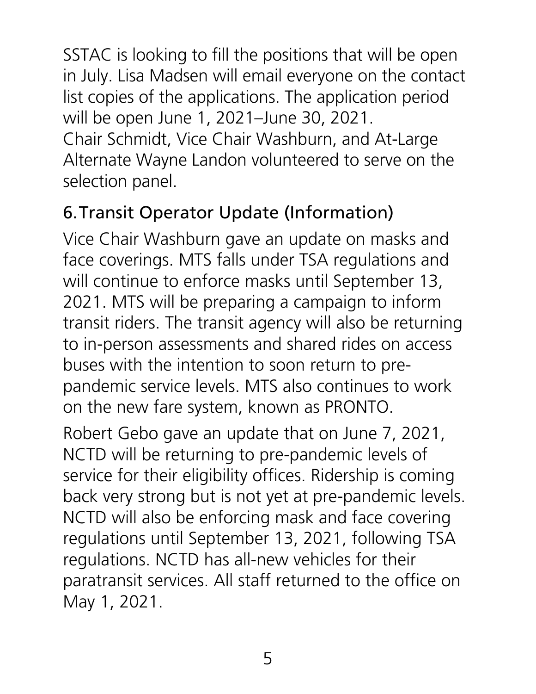SSTAC is looking to fill the positions that will be open in July. Lisa Madsen will email everyone on the contact list copies of the applications. The application period will be open June 1, 2021–June 30, 2021. Chair Schmidt, Vice Chair Washburn, and At-Large Alternate Wayne Landon volunteered to serve on the selection panel.

#### 6.Transit Operator Update (Information)

Vice Chair Washburn gave an update on masks and face coverings. MTS falls under TSA regulations and will continue to enforce masks until September 13, 2021. MTS will be preparing a campaign to inform transit riders. The transit agency will also be returning to in-person assessments and shared rides on access buses with the intention to soon return to prepandemic service levels. MTS also continues to work on the new fare system, known as PRONTO.

Robert Gebo gave an update that on June 7, 2021, NCTD will be returning to pre-pandemic levels of service for their eligibility offices. Ridership is coming back very strong but is not yet at pre-pandemic levels. NCTD will also be enforcing mask and face covering regulations until September 13, 2021, following TSA regulations. NCTD has all-new vehicles for their paratransit services. All staff returned to the office on May 1, 2021.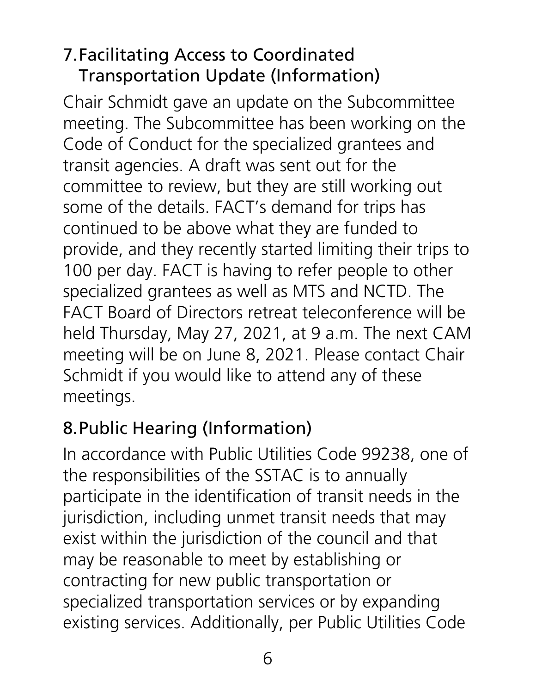#### 7.Facilitating Access to Coordinated Transportation Update (Information)

Chair Schmidt gave an update on the Subcommittee meeting. The Subcommittee has been working on the Code of Conduct for the specialized grantees and transit agencies. A draft was sent out for the committee to review, but they are still working out some of the details. FACT's demand for trips has continued to be above what they are funded to provide, and they recently started limiting their trips to 100 per day. FACT is having to refer people to other specialized grantees as well as MTS and NCTD. The FACT Board of Directors retreat teleconference will be held Thursday, May 27, 2021, at 9 a.m. The next CAM meeting will be on June 8, 2021. Please contact Chair Schmidt if you would like to attend any of these meetings.

#### 8.Public Hearing (Information)

In accordance with Public Utilities Code 99238, one of the responsibilities of the SSTAC is to annually participate in the identification of transit needs in the jurisdiction, including unmet transit needs that may exist within the jurisdiction of the council and that may be reasonable to meet by establishing or contracting for new public transportation or specialized transportation services or by expanding existing services. Additionally, per Public Utilities Code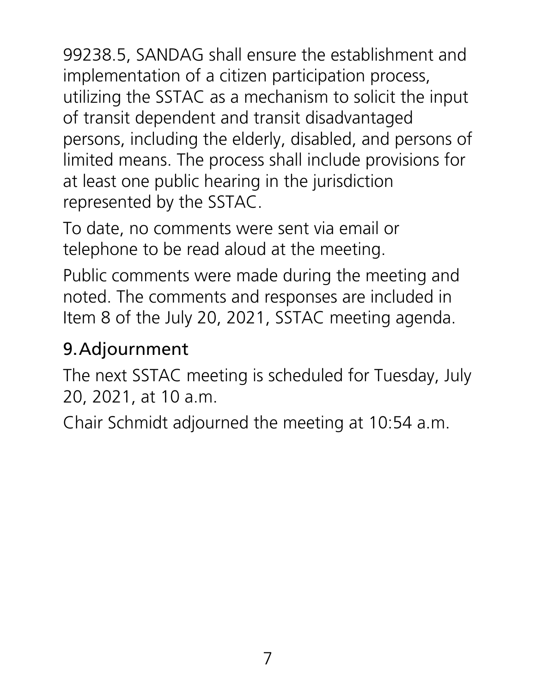99238.5, SANDAG shall ensure the establishment and implementation of a citizen participation process, utilizing the SSTAC as a mechanism to solicit the input of transit dependent and transit disadvantaged persons, including the elderly, disabled, and persons of limited means. The process shall include provisions for at least one public hearing in the jurisdiction represented by the SSTAC.

To date, no comments were sent via email or telephone to be read aloud at the meeting.

Public comments were made during the meeting and noted. The comments and responses are included in Item 8 of the July 20, 2021, SSTAC meeting agenda.

#### 9.Adjournment

The next SSTAC meeting is scheduled for Tuesday, July 20, 2021, at 10 a.m.

Chair Schmidt adjourned the meeting at 10:54 a.m.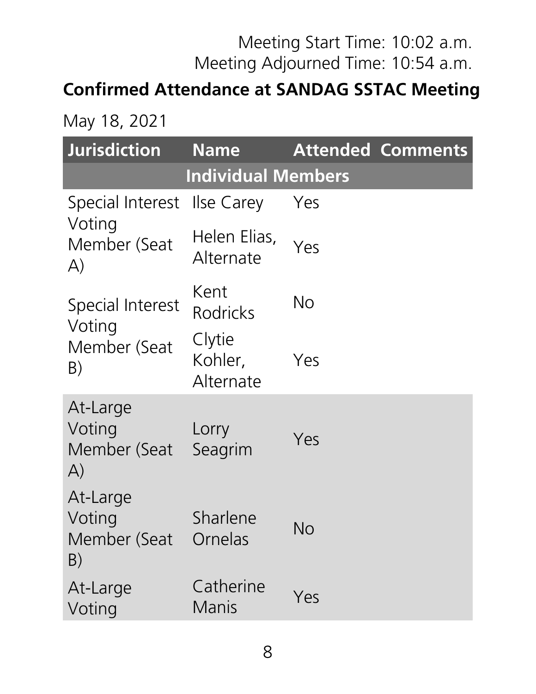#### Meeting Start Time: 10:02 a.m. Meeting Adjourned Time: 10:54 a.m.

#### **Confirmed Attendance at SANDAG SSTAC Meeting**

May 18, 2021

| <b>Jurisdiction</b>                                | <b>Name</b>                    |     | <b>Attended Comments</b> |
|----------------------------------------------------|--------------------------------|-----|--------------------------|
|                                                    | <b>Individual Members</b>      |     |                          |
| Special Interest                                   | <b>Ilse Carey</b>              | Yes |                          |
| Voting<br>Member (Seat<br>A)                       | Helen Elias,<br>Alternate      | Yes |                          |
| Special Interest<br>Voting                         | Kent<br><b>Rodricks</b>        | No  |                          |
| Member (Seat<br>B)                                 | Clytie<br>Kohler,<br>Alternate | Yes |                          |
| At-Large<br>Voting<br>Member (Seat<br>$\mathsf{A}$ | Lorry<br>Seagrim               | Yes |                          |
| At-Large<br>Voting<br>Member (Seat<br>B)           | Sharlene<br>Ornelas            | No  |                          |
| At-Large<br>Voting                                 | Catherine<br>Manis             | Yes |                          |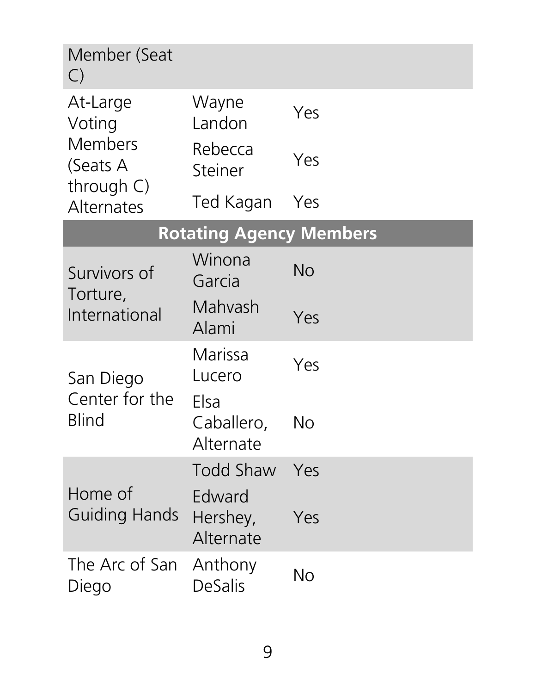| Member (Seat<br>$\bigcirc$         |                                 |           |
|------------------------------------|---------------------------------|-----------|
| At-Large<br>Voting                 | Wayne<br>Landon                 | Yes       |
| Members<br>(Seats A                | Rebecca<br>Steiner              | Yes       |
| through $C$ )<br><b>Alternates</b> | Ted Kagan                       | Yes       |
|                                    | <b>Rotating Agency Members</b>  |           |
| Survivors of                       | Winona<br>Garcia                | <b>No</b> |
| Torture,<br>International          | Mahvash<br>Alami                | Yes       |
| San Diego                          | Marissa<br>Lucero               | Yes       |
| Center for the<br><b>Blind</b>     | Elsa<br>Caballero,<br>Alternate | No        |
|                                    | Todd Shaw                       | Yes       |
| Home of<br><b>Guiding Hands</b>    | Edward<br>Hershey,<br>Alternate | Yes       |
| The Arc of San<br>Diego            | Anthony<br><b>DeSalis</b>       | No        |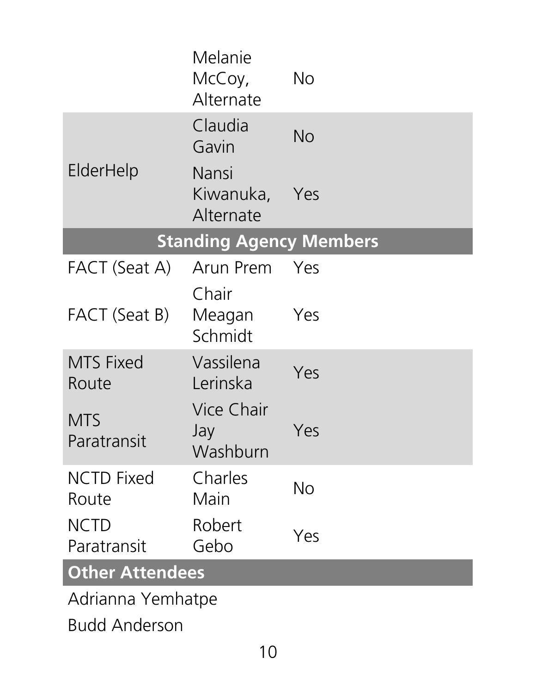|                            | Melanie<br>McCoy,<br>Alternate  | <b>No</b> |  |  |  |
|----------------------------|---------------------------------|-----------|--|--|--|
|                            | Claudia<br>Gavin                | No        |  |  |  |
| ElderHelp                  | Nansi<br>Kiwanuka,<br>Alternate | Yes       |  |  |  |
|                            | <b>Standing Agency Members</b>  |           |  |  |  |
| FACT (Seat A)              | Arun Prem                       | Yes       |  |  |  |
|                            | Chair                           |           |  |  |  |
| FACT (Seat B)              | Meagan<br>Schmidt               | Yes       |  |  |  |
| <b>MTS Fixed</b><br>Route  | Vassilena<br>Lerinska           | Yes       |  |  |  |
| <b>MTS</b><br>Paratransit  | Vice Chair<br>Jay<br>Washburn   | Yes       |  |  |  |
| <b>NCTD Fixed</b><br>Route | Charles<br>Main                 | No        |  |  |  |
| <b>NCTD</b>                | Robert                          | Yes       |  |  |  |
| Paratransit                | Gebo                            |           |  |  |  |
| <b>Other Attendees</b>     |                                 |           |  |  |  |
| Adrianna Yemhatpe          |                                 |           |  |  |  |
| <b>Budd Anderson</b>       |                                 |           |  |  |  |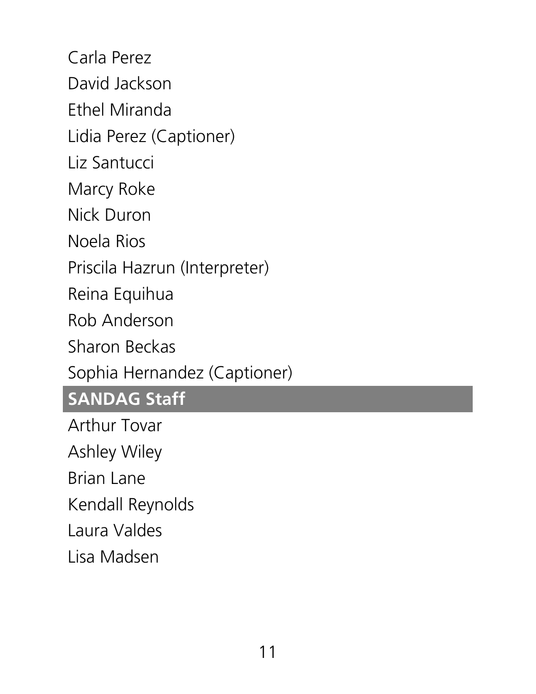Carla Perez David Jackson Ethel Miranda Lidia Perez (Captioner) Liz Santucci Marcy Roke Nick Duron Noela Rios Priscila Hazrun (Interpreter) Reina Equihua Rob Anderson Sharon Beckas Sophia Hernandez (Captioner) **SANDAG Staff** Arthur Tovar Ashley Wiley Brian Lane

Kendall Reynolds

Laura Valdes

Lisa Madsen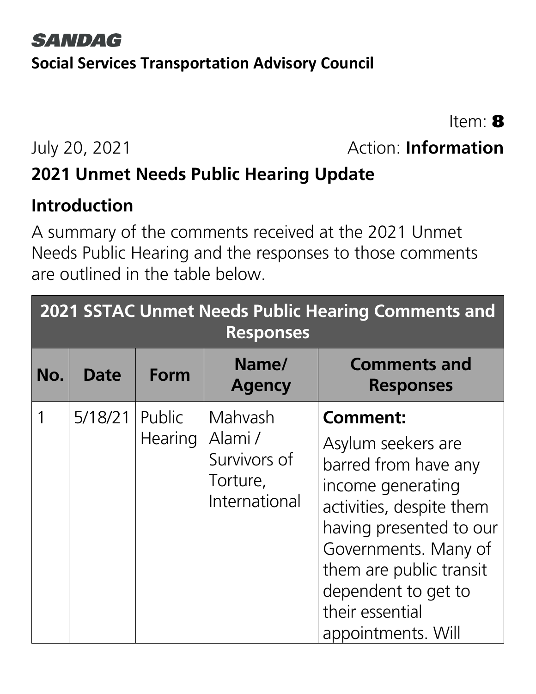#### **SANDAG Social Services Transportation Advisory Council**

Item: 8

#### July 20, 2021 Action: **Information**

#### **2021 Unmet Needs Public Hearing Update**

#### **Introduction**

A summary of the comments received at the 2021 Unmet Needs Public Hearing and the responses to those comments are outlined in the table below.

|     | <b>2021 SSTAC Unmet Needs Public Hearing Comments and</b><br><b>Responses</b> |                          |                                                                |                                                                                                                                                                                                                                                              |  |  |
|-----|-------------------------------------------------------------------------------|--------------------------|----------------------------------------------------------------|--------------------------------------------------------------------------------------------------------------------------------------------------------------------------------------------------------------------------------------------------------------|--|--|
| No. | <b>Date</b>                                                                   | Form                     | Name/<br><b>Agency</b>                                         | <b>Comments and</b><br><b>Responses</b>                                                                                                                                                                                                                      |  |  |
|     | 5/18/21                                                                       | Public<br><b>Hearing</b> | Mahyash<br>Alami/<br>Survivors of<br>Torture,<br>International | <b>Comment:</b><br>Asylum seekers are<br>barred from have any<br>income generating<br>activities, despite them<br>having presented to our<br>Governments. Many of<br>them are public transit<br>dependent to get to<br>their essential<br>appointments. Will |  |  |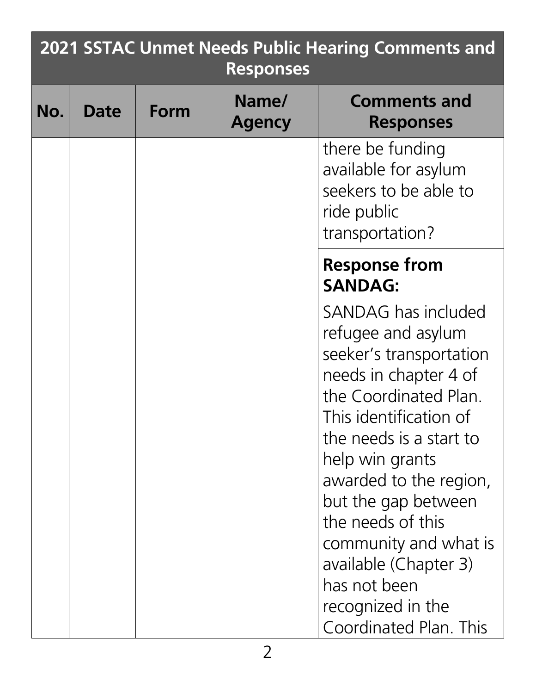| <b>2021 SSTAC Unmet Needs Public Hearing Comments and</b><br><b>Responses</b> |      |      |                        |                                                                                                                                                                                                                                                                                                                                                                                       |  |
|-------------------------------------------------------------------------------|------|------|------------------------|---------------------------------------------------------------------------------------------------------------------------------------------------------------------------------------------------------------------------------------------------------------------------------------------------------------------------------------------------------------------------------------|--|
| No.                                                                           | Date | Form | Name/<br><b>Agency</b> | <b>Comments and</b><br><b>Responses</b>                                                                                                                                                                                                                                                                                                                                               |  |
|                                                                               |      |      |                        | there be funding<br>available for asylum<br>seekers to be able to<br>ride public<br>transportation?                                                                                                                                                                                                                                                                                   |  |
|                                                                               |      |      |                        | <b>Response from</b><br><b>SANDAG:</b>                                                                                                                                                                                                                                                                                                                                                |  |
|                                                                               |      |      |                        | SANDAG has included<br>refugee and asylum<br>seeker's transportation<br>needs in chapter 4 of<br>the Coordinated Plan.<br>This identification of<br>the needs is a start to<br>help win grants<br>awarded to the region,<br>but the gap between<br>the needs of this<br>community and what is<br>available (Chapter 3)<br>has not been<br>recognized in the<br>Coordinated Plan. This |  |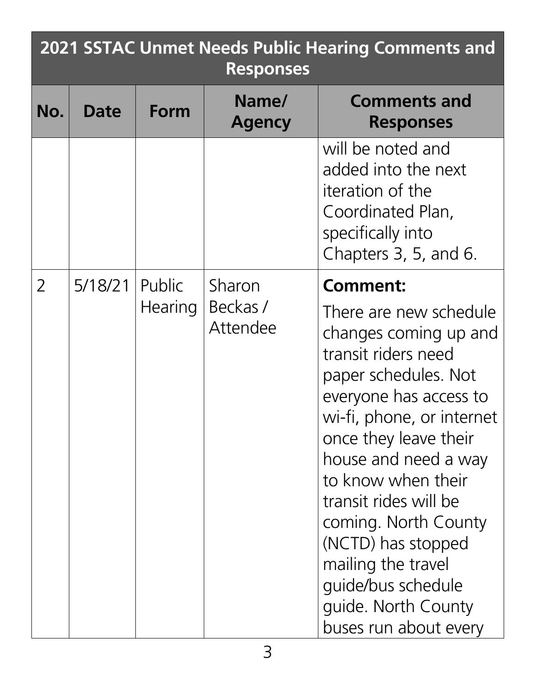| <b>2021 SSTAC Unmet Needs Public Hearing Comments and</b><br><b>Responses</b> |             |                   |                               |                                                                                                                                                                                                                                                                                                                                                                                                                    |  |
|-------------------------------------------------------------------------------|-------------|-------------------|-------------------------------|--------------------------------------------------------------------------------------------------------------------------------------------------------------------------------------------------------------------------------------------------------------------------------------------------------------------------------------------------------------------------------------------------------------------|--|
| No.                                                                           | <b>Date</b> | Form              | Name/<br><b>Agency</b>        | <b>Comments and</b><br><b>Responses</b>                                                                                                                                                                                                                                                                                                                                                                            |  |
|                                                                               |             |                   |                               | will be noted and<br>added into the next<br>iteration of the<br>Coordinated Plan,<br>specifically into<br>Chapters 3, 5, and 6.                                                                                                                                                                                                                                                                                    |  |
| $\overline{2}$                                                                | 5/18/21     | Public<br>Hearing | Sharon<br>Beckas/<br>Attendee | <b>Comment:</b><br>There are new schedule<br>changes coming up and<br>transit riders need<br>paper schedules. Not<br>everyone has access to<br>wi-fi, phone, or internet<br>once they leave their<br>house and need a way<br>to know when their<br>transit rides will be<br>coming. North County<br>(NCTD) has stopped<br>mailing the travel<br>guide/bus schedule<br>quide. North County<br>buses run about every |  |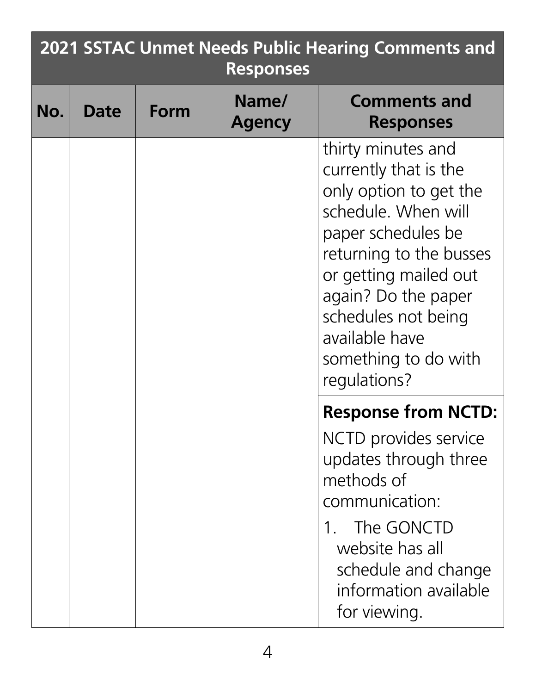|     | <b>2021 SSTAC Unmet Needs Public Hearing Comments and</b><br><b>Responses</b> |      |                        |                                                                                                                                                                                                                                                                                |  |  |
|-----|-------------------------------------------------------------------------------|------|------------------------|--------------------------------------------------------------------------------------------------------------------------------------------------------------------------------------------------------------------------------------------------------------------------------|--|--|
| No. | Date                                                                          | Form | Name/<br><b>Agency</b> | <b>Comments and</b><br><b>Responses</b>                                                                                                                                                                                                                                        |  |  |
|     |                                                                               |      |                        | thirty minutes and<br>currently that is the<br>only option to get the<br>schedule. When will<br>paper schedules be<br>returning to the busses<br>or getting mailed out<br>again? Do the paper<br>schedules not being<br>available have<br>something to do with<br>regulations? |  |  |
|     |                                                                               |      |                        | <b>Response from NCTD:</b>                                                                                                                                                                                                                                                     |  |  |
|     |                                                                               |      |                        | NCTD provides service<br>updates through three<br>methods of<br>communication:<br>The GONCTD<br>website has all<br>schedule and change<br>information available<br>for viewing.                                                                                                |  |  |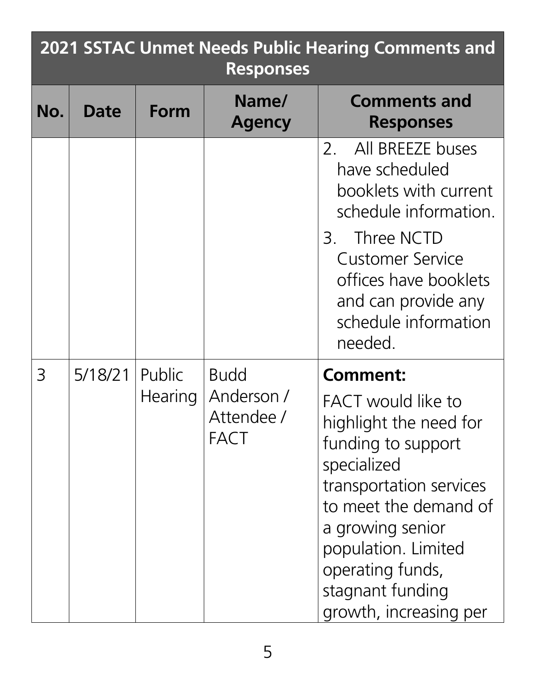| <b>2021 SSTAC Unmet Needs Public Hearing Comments and</b><br><b>Responses</b> |             |                          |                                                        |                                                                                                                                                                                                                                                                              |  |
|-------------------------------------------------------------------------------|-------------|--------------------------|--------------------------------------------------------|------------------------------------------------------------------------------------------------------------------------------------------------------------------------------------------------------------------------------------------------------------------------------|--|
| No.                                                                           | <b>Date</b> | Form                     | Name/<br><b>Agency</b>                                 | <b>Comments and</b><br><b>Responses</b>                                                                                                                                                                                                                                      |  |
|                                                                               |             |                          |                                                        | 2. All BREEZE buses<br>have scheduled<br>booklets with current<br>schedule information.<br>Three NCTD<br>3.<br><b>Customer Service</b><br>offices have booklets<br>and can provide any<br>schedule information<br>needed.                                                    |  |
| 3                                                                             | 5/18/21     | Public<br><b>Hearing</b> | <b>Budd</b><br>Anderson /<br>Attendee /<br><b>FACT</b> | <b>Comment:</b><br><b>FACT</b> would like to<br>highlight the need for<br>funding to support<br>specialized<br>transportation services<br>to meet the demand of<br>a growing senior<br>population. Limited<br>operating funds,<br>stagnant funding<br>growth, increasing per |  |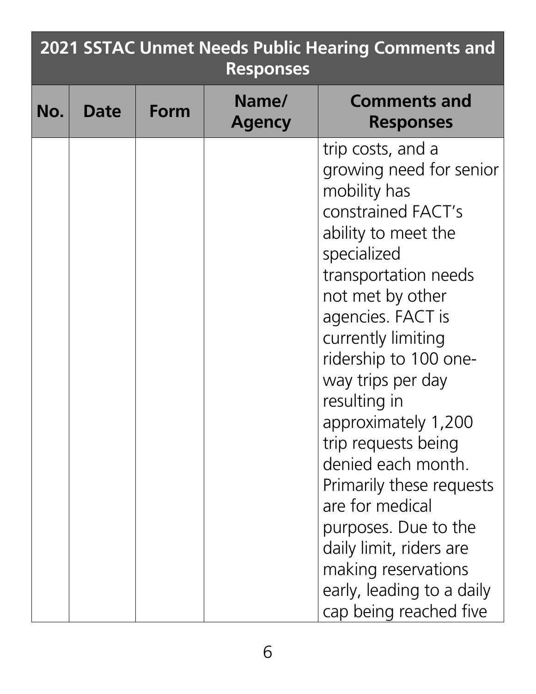| <b>2021 SSTAC Unmet Needs Public Hearing Comments and</b><br><b>Responses</b> |             |      |                        |                                                                                                                                                                                                                                                                                                                                                                                                                                                                                                                                   |  |  |
|-------------------------------------------------------------------------------|-------------|------|------------------------|-----------------------------------------------------------------------------------------------------------------------------------------------------------------------------------------------------------------------------------------------------------------------------------------------------------------------------------------------------------------------------------------------------------------------------------------------------------------------------------------------------------------------------------|--|--|
| No.                                                                           | <b>Date</b> | Form | Name/<br><b>Agency</b> | <b>Comments and</b><br><b>Responses</b>                                                                                                                                                                                                                                                                                                                                                                                                                                                                                           |  |  |
|                                                                               |             |      |                        | trip costs, and a<br>growing need for senior<br>mobility has<br>constrained FACT's<br>ability to meet the<br>specialized<br>transportation needs<br>not met by other<br>agencies. FACT is<br>currently limiting<br>ridership to 100 one-<br>way trips per day<br>resulting in<br>approximately 1,200<br>trip requests being<br>denied each month.<br>Primarily these requests<br>are for medical<br>purposes. Due to the<br>daily limit, riders are<br>making reservations<br>early, leading to a daily<br>cap being reached five |  |  |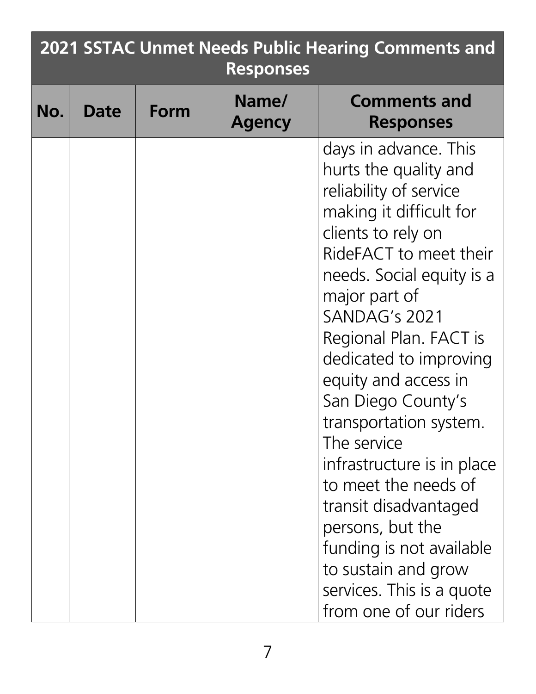| <b>2021 SSTAC Unmet Needs Public Hearing Comments and</b><br><b>Responses</b> |      |      |                        |                                                                                                                                                                                                                                                                                                                                                                                                                                                                                                                                                                            |  |
|-------------------------------------------------------------------------------|------|------|------------------------|----------------------------------------------------------------------------------------------------------------------------------------------------------------------------------------------------------------------------------------------------------------------------------------------------------------------------------------------------------------------------------------------------------------------------------------------------------------------------------------------------------------------------------------------------------------------------|--|
| No.                                                                           | Date | Form | Name/<br><b>Agency</b> | <b>Comments and</b><br><b>Responses</b>                                                                                                                                                                                                                                                                                                                                                                                                                                                                                                                                    |  |
|                                                                               |      |      |                        | days in advance. This<br>hurts the quality and<br>reliability of service<br>making it difficult for<br>clients to rely on<br>RideFACT to meet their<br>needs. Social equity is a<br>major part of<br>SANDAG's 2021<br>Regional Plan. FACT is<br>dedicated to improving<br>equity and access in<br>San Diego County's<br>transportation system.<br>The service<br>infrastructure is in place<br>to meet the needs of<br>transit disadvantaged<br>persons, but the<br>funding is not available<br>to sustain and grow<br>services. This is a quote<br>from one of our riders |  |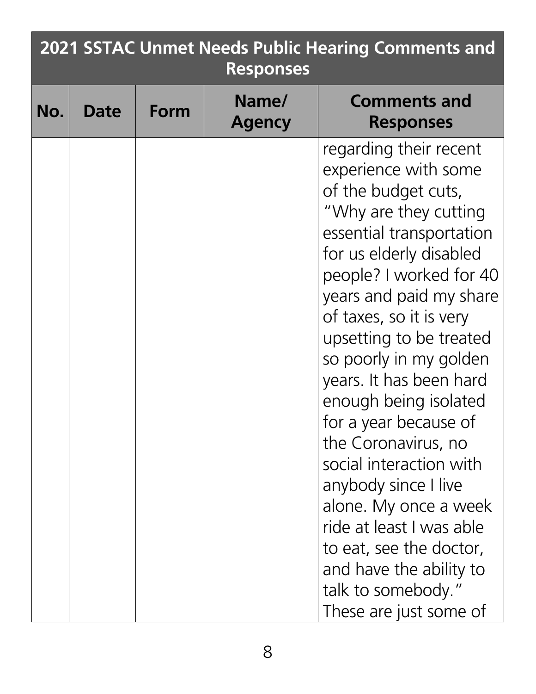|     | 2021 SSTAC Unmet Needs Public Hearing Comments and<br><b>Responses</b> |      |                        |                                                                                                                                                                                                                                                                                                                                                                                                                                                                                                                                                                                                               |  |  |  |
|-----|------------------------------------------------------------------------|------|------------------------|---------------------------------------------------------------------------------------------------------------------------------------------------------------------------------------------------------------------------------------------------------------------------------------------------------------------------------------------------------------------------------------------------------------------------------------------------------------------------------------------------------------------------------------------------------------------------------------------------------------|--|--|--|
| No. | Date                                                                   | Form | Name/<br><b>Agency</b> | <b>Comments and</b><br><b>Responses</b>                                                                                                                                                                                                                                                                                                                                                                                                                                                                                                                                                                       |  |  |  |
|     |                                                                        |      |                        | regarding their recent<br>experience with some<br>of the budget cuts,<br>"Why are they cutting<br>essential transportation<br>for us elderly disabled<br>people? I worked for 40<br>years and paid my share<br>of taxes, so it is very<br>upsetting to be treated<br>so poorly in my golden<br>years. It has been hard<br>enough being isolated<br>for a year because of<br>the Coronavirus, no<br>social interaction with<br>anybody since I live<br>alone. My once a week<br>ride at least I was able<br>to eat, see the doctor,<br>and have the ability to<br>talk to somebody."<br>These are just some of |  |  |  |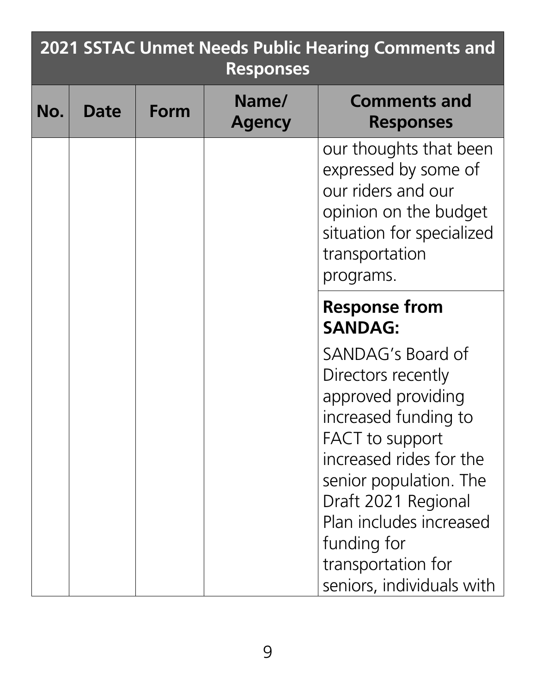|     | <b>2021 SSTAC Unmet Needs Public Hearing Comments and</b><br><b>Responses</b> |      |                        |                                                                                                                                                                                                                                                                                          |  |
|-----|-------------------------------------------------------------------------------|------|------------------------|------------------------------------------------------------------------------------------------------------------------------------------------------------------------------------------------------------------------------------------------------------------------------------------|--|
| No. | Date                                                                          | Form | Name/<br><b>Agency</b> | <b>Comments and</b><br><b>Responses</b>                                                                                                                                                                                                                                                  |  |
|     |                                                                               |      |                        | our thoughts that been<br>expressed by some of<br>our riders and our<br>opinion on the budget<br>situation for specialized<br>transportation<br>programs.                                                                                                                                |  |
|     |                                                                               |      |                        | <b>Response from</b><br><b>SANDAG:</b>                                                                                                                                                                                                                                                   |  |
|     |                                                                               |      |                        | SANDAG's Board of<br>Directors recently<br>approved providing<br>increased funding to<br><b>FACT</b> to support<br>increased rides for the<br>senior population. The<br>Draft 2021 Regional<br>Plan includes increased<br>funding for<br>transportation for<br>seniors, individuals with |  |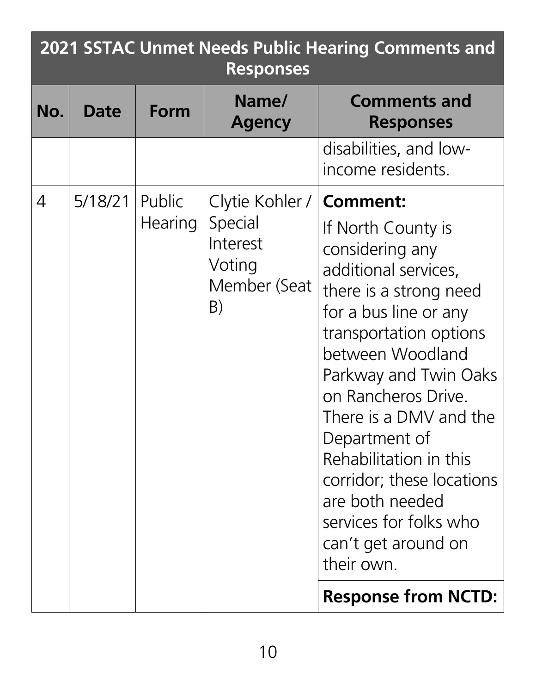| <b>2021 SSTAC Unmet Needs Public Hearing Comments and</b><br><b>Responses</b> |             |                          |                                                                        |                                                                                                                                                                                                                                                                                                                                                                                                                       |
|-------------------------------------------------------------------------------|-------------|--------------------------|------------------------------------------------------------------------|-----------------------------------------------------------------------------------------------------------------------------------------------------------------------------------------------------------------------------------------------------------------------------------------------------------------------------------------------------------------------------------------------------------------------|
| No.                                                                           | <b>Date</b> | Form                     | Name/<br><b>Agency</b>                                                 | <b>Comments and</b><br><b>Responses</b>                                                                                                                                                                                                                                                                                                                                                                               |
|                                                                               |             |                          |                                                                        | disabilities, and low-<br>income residents.                                                                                                                                                                                                                                                                                                                                                                           |
| 4                                                                             | 5/18/21     | Public<br><b>Hearing</b> | Clytie Kohler /<br>Special<br>Interest<br>Voting<br>Member (Seat<br>B) | <b>Comment:</b><br>If North County is<br>considering any<br>additional services,<br>there is a strong need<br>for a bus line or any<br>transportation options<br>between Woodland<br>Parkway and Twin Oaks<br>on Rancheros Drive.<br>There is a DMV and the<br>Department of<br>Rehabilitation in this<br>corridor; these locations<br>are both needed<br>services for folks who<br>can't get around on<br>their own. |
|                                                                               |             |                          |                                                                        | <b>Response from NCTD:</b>                                                                                                                                                                                                                                                                                                                                                                                            |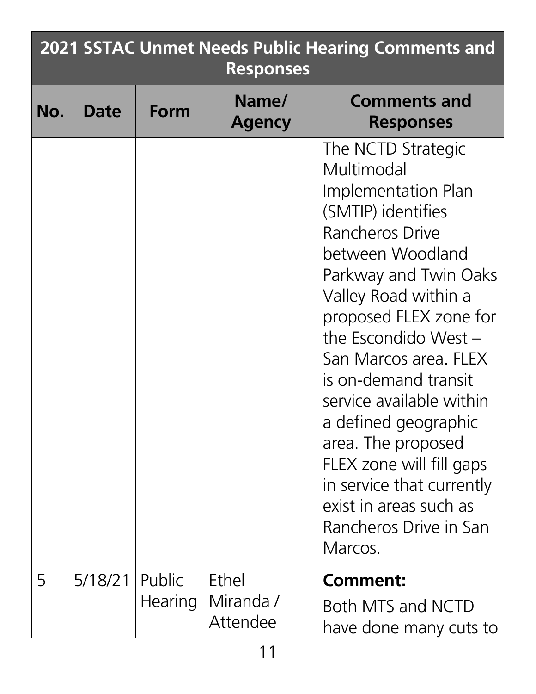|     | <b>2021 SSTAC Unmet Needs Public Hearing Comments and</b><br><b>Responses</b> |                          |                                |                                                                                                                                                                                                                                                                                                                                                                                                                                                                              |  |
|-----|-------------------------------------------------------------------------------|--------------------------|--------------------------------|------------------------------------------------------------------------------------------------------------------------------------------------------------------------------------------------------------------------------------------------------------------------------------------------------------------------------------------------------------------------------------------------------------------------------------------------------------------------------|--|
| No. | Date                                                                          | Form                     | Name/<br><b>Agency</b>         | <b>Comments and</b><br><b>Responses</b>                                                                                                                                                                                                                                                                                                                                                                                                                                      |  |
|     |                                                                               |                          |                                | The NCTD Strategic<br>Multimodal<br>Implementation Plan<br>(SMTIP) identifies<br>Rancheros Drive<br>between Woodland<br>Parkway and Twin Oaks<br>Valley Road within a<br>proposed FLEX zone for<br>the Escondido West $-$<br>San Marcos area. FLEX<br>is on-demand transit<br>service available within<br>a defined geographic<br>area. The proposed<br>FLEX zone will fill gaps<br>in service that currently<br>exist in areas such as<br>Rancheros Drive in San<br>Marcos. |  |
| 5   | 5/18/21                                                                       | Public<br><b>Hearing</b> | Ethel<br>Miranda /<br>Attendee | <b>Comment:</b><br>Both MTS and NCTD<br>have done many cuts to                                                                                                                                                                                                                                                                                                                                                                                                               |  |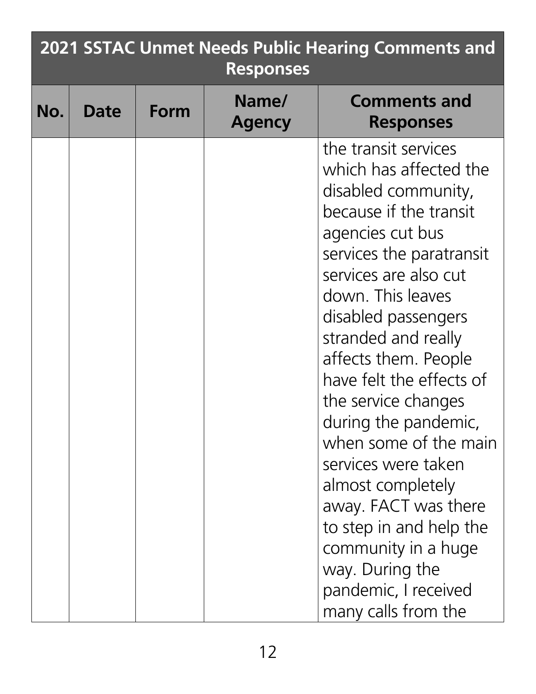|     | 2021 SSTAC Unmet Needs Public Hearing Comments and<br><b>Responses</b> |      |                        |                                                                                                                                                                                                                                                                                                                                                                                                                                                                                                                                                                 |  |
|-----|------------------------------------------------------------------------|------|------------------------|-----------------------------------------------------------------------------------------------------------------------------------------------------------------------------------------------------------------------------------------------------------------------------------------------------------------------------------------------------------------------------------------------------------------------------------------------------------------------------------------------------------------------------------------------------------------|--|
| No. | Date                                                                   | Form | Name/<br><b>Agency</b> | <b>Comments and</b><br><b>Responses</b>                                                                                                                                                                                                                                                                                                                                                                                                                                                                                                                         |  |
|     |                                                                        |      |                        | the transit services<br>which has affected the<br>disabled community,<br>because if the transit<br>agencies cut bus<br>services the paratransit<br>services are also cut<br>down. This leaves<br>disabled passengers<br>stranded and really<br>affects them. People<br>have felt the effects of<br>the service changes<br>during the pandemic,<br>when some of the main<br>services were taken<br>almost completely<br>away. FACT was there<br>to step in and help the<br>community in a huge<br>way. During the<br>pandemic, I received<br>many calls from the |  |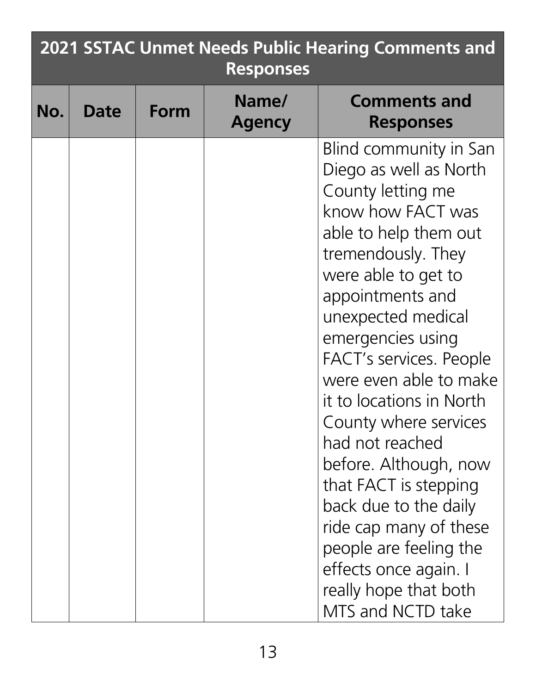|     | <b>2021 SSTAC Unmet Needs Public Hearing Comments and</b><br><b>Responses</b> |      |                        |                                                                                                                                                                                                                                                                                                                                                                                                                                                                                                                                                                           |  |
|-----|-------------------------------------------------------------------------------|------|------------------------|---------------------------------------------------------------------------------------------------------------------------------------------------------------------------------------------------------------------------------------------------------------------------------------------------------------------------------------------------------------------------------------------------------------------------------------------------------------------------------------------------------------------------------------------------------------------------|--|
| No. | <b>Date</b>                                                                   | Form | Name/<br><b>Agency</b> | <b>Comments and</b><br><b>Responses</b>                                                                                                                                                                                                                                                                                                                                                                                                                                                                                                                                   |  |
|     |                                                                               |      |                        | Blind community in San<br>Diego as well as North<br>County letting me<br>know how FACT was<br>able to help them out<br>tremendously. They<br>were able to get to<br>appointments and<br>unexpected medical<br>emergencies using<br><b>FACT's services. People</b><br>were even able to make<br>it to locations in North<br>County where services<br>had not reached<br>before. Although, now<br>that FACT is stepping<br>back due to the daily<br>ride cap many of these<br>people are feeling the<br>effects once again. I<br>really hope that both<br>MTS and NCTD take |  |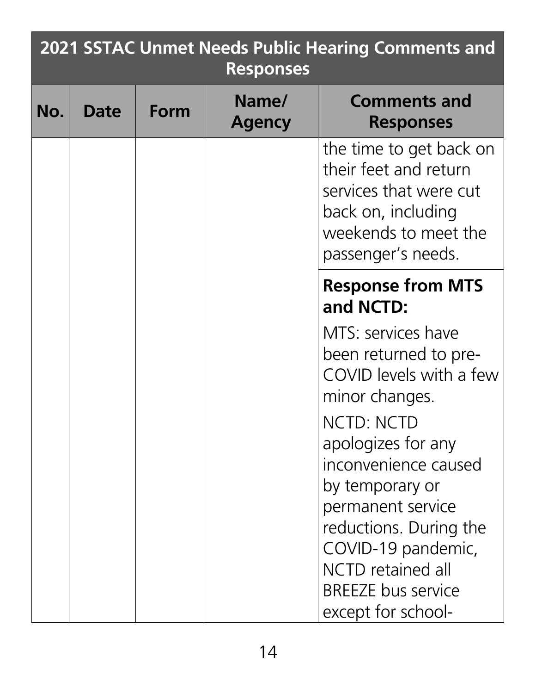|     | <b>2021 SSTAC Unmet Needs Public Hearing Comments and</b><br><b>Responses</b> |             |                        |                                                                                                                                                |  |
|-----|-------------------------------------------------------------------------------|-------------|------------------------|------------------------------------------------------------------------------------------------------------------------------------------------|--|
| No. | Date                                                                          | <b>Form</b> | Name/<br><b>Agency</b> | <b>Comments and</b><br><b>Responses</b>                                                                                                        |  |
|     |                                                                               |             |                        | the time to get back on<br>their feet and return<br>services that were cut<br>back on, including<br>weekends to meet the<br>passenger's needs. |  |
|     |                                                                               |             |                        | <b>Response from MTS</b><br>and NCTD:                                                                                                          |  |
|     |                                                                               |             |                        | MTS: services have<br>been returned to pre-<br>COVID levels with a few<br>minor changes.<br>NCTD: NCTD<br>apologizes for any                   |  |
|     |                                                                               |             |                        | inconvenience caused<br>by temporary or<br>permanent service<br>reductions. During the<br>COVID-19 pandemic,                                   |  |
|     |                                                                               |             |                        | <b>NCTD</b> retained all<br><b>BREEZE bus service</b><br>except for school-                                                                    |  |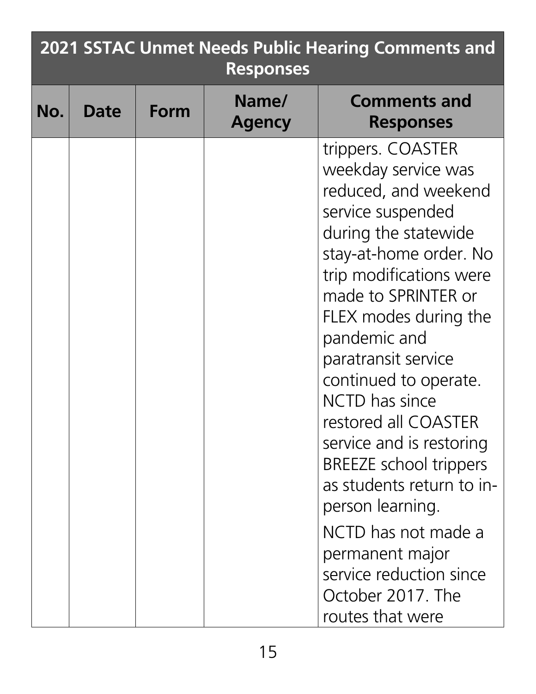|     | <b>2021 SSTAC Unmet Needs Public Hearing Comments and</b><br><b>Responses</b> |      |                        |                                                                                                                                                                                                                                                                                                                                                                                                                                                                                                                                                                 |  |
|-----|-------------------------------------------------------------------------------|------|------------------------|-----------------------------------------------------------------------------------------------------------------------------------------------------------------------------------------------------------------------------------------------------------------------------------------------------------------------------------------------------------------------------------------------------------------------------------------------------------------------------------------------------------------------------------------------------------------|--|
| No. | Date                                                                          | Form | Name/<br><b>Agency</b> | <b>Comments and</b><br><b>Responses</b>                                                                                                                                                                                                                                                                                                                                                                                                                                                                                                                         |  |
|     |                                                                               |      |                        | trippers. COASTER<br>weekday service was<br>reduced, and weekend<br>service suspended<br>during the statewide<br>stay-at-home order. No<br>trip modifications were<br>made to SPRINTER or<br>FLEX modes during the<br>pandemic and<br>paratransit service<br>continued to operate.<br><b>NCTD</b> has since<br>restored all COASTER<br>service and is restoring<br><b>BREEZE</b> school trippers<br>as students return to in-<br>person learning.<br>NCTD has not made a<br>permanent major<br>service reduction since<br>October 2017. The<br>routes that were |  |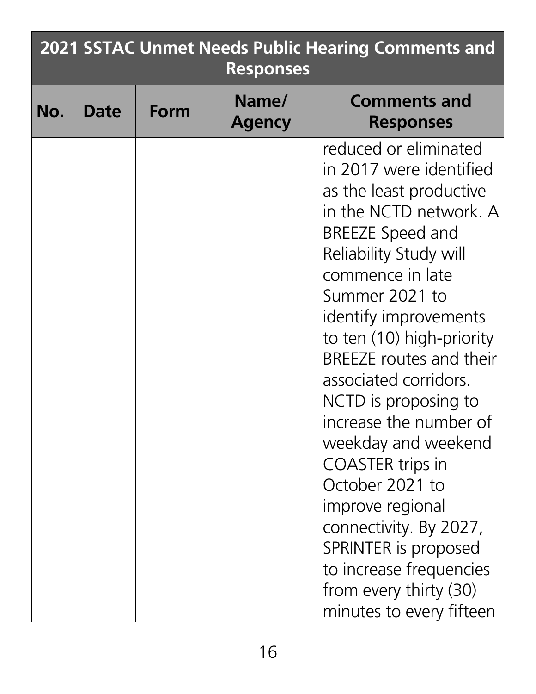|     | <b>2021 SSTAC Unmet Needs Public Hearing Comments and</b><br><b>Responses</b> |      |                        |                                                                                                                                                                                                                                                                                                                                                                                                                                                                                                                                                                                                 |  |
|-----|-------------------------------------------------------------------------------|------|------------------------|-------------------------------------------------------------------------------------------------------------------------------------------------------------------------------------------------------------------------------------------------------------------------------------------------------------------------------------------------------------------------------------------------------------------------------------------------------------------------------------------------------------------------------------------------------------------------------------------------|--|
| No. | Date                                                                          | Form | Name/<br><b>Agency</b> | <b>Comments and</b><br><b>Responses</b>                                                                                                                                                                                                                                                                                                                                                                                                                                                                                                                                                         |  |
|     |                                                                               |      |                        | reduced or eliminated<br>in 2017 were identified<br>as the least productive<br>in the NCTD network. A<br><b>BREEZE Speed and</b><br>Reliability Study will<br>commence in late<br>Summer 2021 to<br>identify improvements<br>to ten (10) high-priority<br><b>BREEZE</b> routes and their<br>associated corridors.<br>NCTD is proposing to<br>increase the number of<br>weekday and weekend<br><b>COASTER trips in</b><br>October 2021 to<br>improve regional<br>connectivity. By 2027,<br>SPRINTER is proposed<br>to increase frequencies<br>from every thirty (30)<br>minutes to every fifteen |  |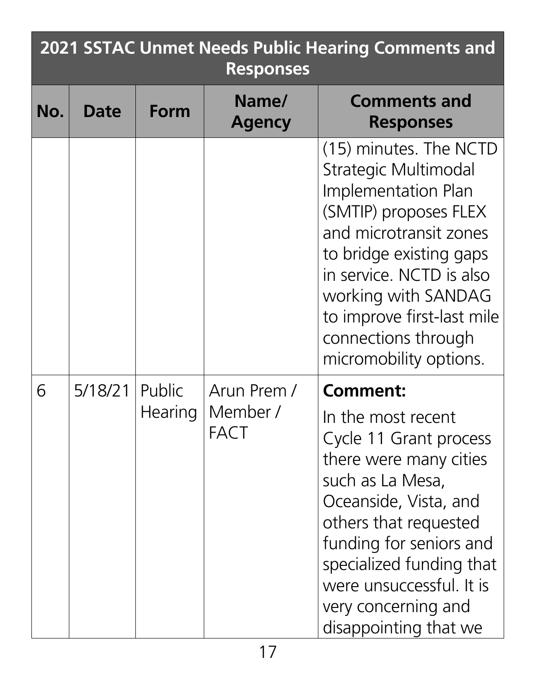|     | <b>2021 SSTAC Unmet Needs Public Hearing Comments and</b><br><b>Responses</b> |                |                        |                                                                                                                                                                                                                                                                                              |  |
|-----|-------------------------------------------------------------------------------|----------------|------------------------|----------------------------------------------------------------------------------------------------------------------------------------------------------------------------------------------------------------------------------------------------------------------------------------------|--|
| No. | <b>Date</b>                                                                   | Form           | Name/<br><b>Agency</b> | <b>Comments and</b><br><b>Responses</b>                                                                                                                                                                                                                                                      |  |
|     |                                                                               |                |                        | (15) minutes. The NCTD<br><b>Strategic Multimodal</b><br>Implementation Plan<br>(SMTIP) proposes FLEX<br>and microtransit zones<br>to bridge existing gaps<br>in service. NCTD is also<br>working with SANDAG<br>to improve first-last mile<br>connections through<br>micromobility options. |  |
| 6   | 5/18/21                                                                       | Public         | Arun Prem /            | <b>Comment:</b>                                                                                                                                                                                                                                                                              |  |
|     |                                                                               | <b>Hearing</b> | Member/<br>FACT        | In the most recent<br>Cycle 11 Grant process<br>there were many cities<br>such as La Mesa,<br>Oceanside, Vista, and<br>others that requested<br>funding for seniors and<br>specialized funding that<br>were unsuccessful. It is<br>very concerning and<br>disappointing that we              |  |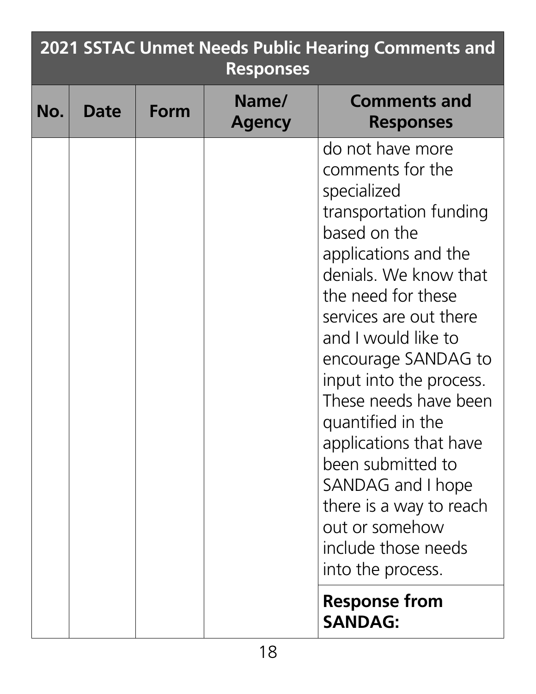|     | <b>2021 SSTAC Unmet Needs Public Hearing Comments and</b><br><b>Responses</b> |             |                        |                                                                                                                                                                                                                                                                                                                                                                                                                                                                                    |
|-----|-------------------------------------------------------------------------------|-------------|------------------------|------------------------------------------------------------------------------------------------------------------------------------------------------------------------------------------------------------------------------------------------------------------------------------------------------------------------------------------------------------------------------------------------------------------------------------------------------------------------------------|
| No. | Date                                                                          | <b>Form</b> | Name/<br><b>Agency</b> | <b>Comments and</b><br><b>Responses</b>                                                                                                                                                                                                                                                                                                                                                                                                                                            |
|     |                                                                               |             |                        | do not have more<br>comments for the<br>specialized<br>transportation funding<br>based on the<br>applications and the<br>denials. We know that<br>the need for these<br>services are out there<br>and I would like to<br>encourage SANDAG to<br>input into the process.<br>These needs have been<br>quantified in the<br>applications that have<br>been submitted to<br>SANDAG and I hope<br>there is a way to reach<br>out or somehow<br>include those needs<br>into the process. |
|     |                                                                               |             |                        | <b>Response from</b><br><b>SANDAG:</b>                                                                                                                                                                                                                                                                                                                                                                                                                                             |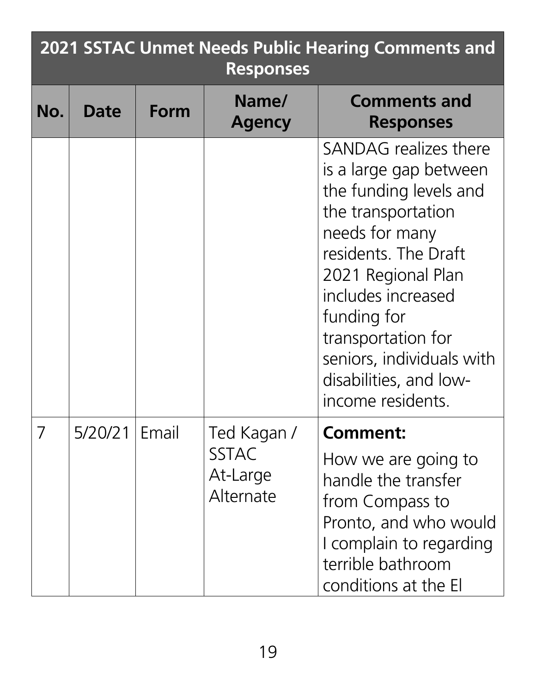| <b>2021 SSTAC Unmet Needs Public Hearing Comments and</b><br><b>Responses</b> |         |       |                                       |                                                                                                                                                                                                                                                                                                        |
|-------------------------------------------------------------------------------|---------|-------|---------------------------------------|--------------------------------------------------------------------------------------------------------------------------------------------------------------------------------------------------------------------------------------------------------------------------------------------------------|
| No.                                                                           | Date    | Form  | Name/<br><b>Agency</b>                | <b>Comments and</b><br><b>Responses</b>                                                                                                                                                                                                                                                                |
|                                                                               |         |       |                                       | SANDAG realizes there<br>is a large gap between<br>the funding levels and<br>the transportation<br>needs for many<br>residents. The Draft<br>2021 Regional Plan<br>includes increased<br>funding for<br>transportation for<br>seniors, individuals with<br>disabilities, and low-<br>income residents. |
| 7                                                                             | 5/20/21 | Email | Ted Kagan /                           | <b>Comment:</b>                                                                                                                                                                                                                                                                                        |
|                                                                               |         |       | <b>SSTAC</b><br>At-Large<br>Alternate | How we are going to<br>handle the transfer<br>from Compass to<br>Pronto, and who would<br>I complain to regarding<br>terrible bathroom<br>conditions at the El                                                                                                                                         |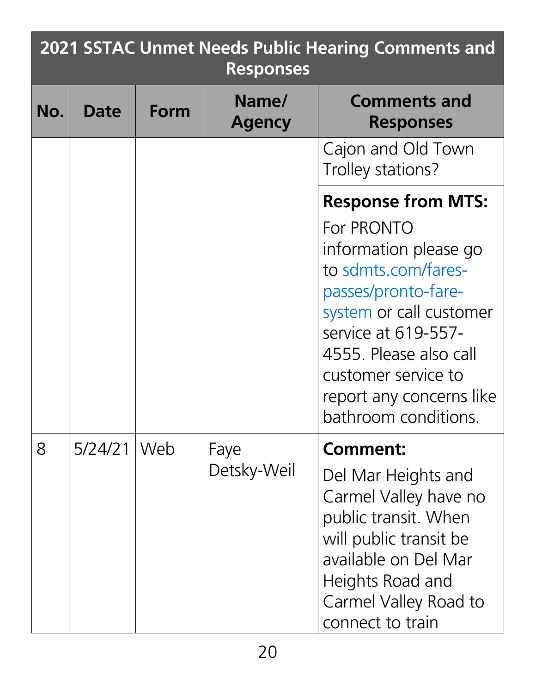|     | <b>2021 SSTAC Unmet Needs Public Hearing Comments and</b><br><b>Responses</b> |       |                        |                                                                                                                                                                                                                                                                       |
|-----|-------------------------------------------------------------------------------|-------|------------------------|-----------------------------------------------------------------------------------------------------------------------------------------------------------------------------------------------------------------------------------------------------------------------|
| No. | Date                                                                          | Form  | Name/<br><b>Agency</b> | <b>Comments and</b><br><b>Responses</b>                                                                                                                                                                                                                               |
|     |                                                                               |       |                        | Cajon and Old Town<br>Trolley stations?                                                                                                                                                                                                                               |
|     |                                                                               |       |                        | <b>Response from MTS:</b><br>For PRONTO<br>information please go<br>to sdmts.com/fares-<br>passes/pronto-fare-<br>system or call customer<br>service at 619-557-<br>4555. Please also call<br>customer service to<br>report any concerns like<br>bathroom conditions. |
| 8   | 5/24/21                                                                       | l Web | Faye<br>Detsky-Weil    | Comment:<br>Del Mar Heights and<br>Carmel Valley have no<br>public transit. When<br>will public transit be<br>available on Del Mar<br>Heights Road and<br>Carmel Valley Road to<br>connect to train                                                                   |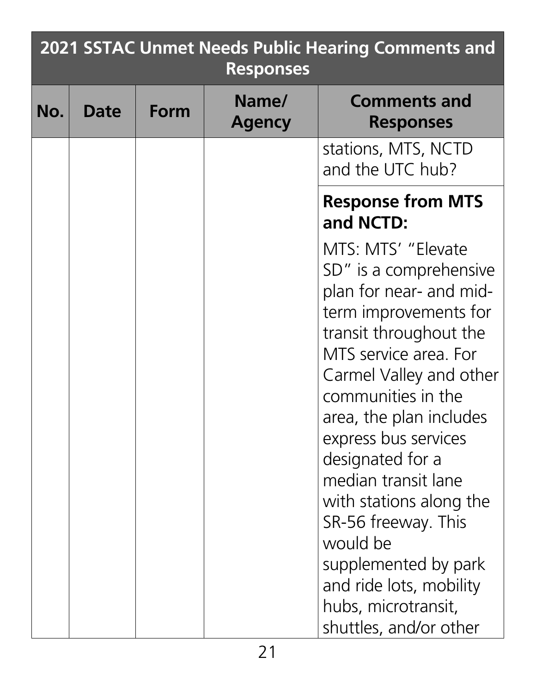| 2021 SSTAC Unmet Needs Public Hearing Comments and<br><b>Responses</b> |             |      |                        |                                                                                                                                                                                                                                                                                                                                                                                                                                                                       |  |  |  |
|------------------------------------------------------------------------|-------------|------|------------------------|-----------------------------------------------------------------------------------------------------------------------------------------------------------------------------------------------------------------------------------------------------------------------------------------------------------------------------------------------------------------------------------------------------------------------------------------------------------------------|--|--|--|
| No.                                                                    | <b>Date</b> | Form | Name/<br><b>Agency</b> | <b>Comments and</b><br><b>Responses</b>                                                                                                                                                                                                                                                                                                                                                                                                                               |  |  |  |
|                                                                        |             |      |                        | stations, MTS, NCTD<br>and the UTC hub?                                                                                                                                                                                                                                                                                                                                                                                                                               |  |  |  |
|                                                                        |             |      |                        | <b>Response from MTS</b><br>and NCTD:                                                                                                                                                                                                                                                                                                                                                                                                                                 |  |  |  |
|                                                                        |             |      |                        | MTS: MTS' "Elevate"<br>SD" is a comprehensive<br>plan for near- and mid-<br>term improvements for<br>transit throughout the<br>MTS service area. For<br>Carmel Valley and other<br>communities in the<br>area, the plan includes<br>express bus services<br>designated for a<br>median transit lane<br>with stations along the<br>SR-56 freeway. This<br>would be<br>supplemented by park<br>and ride lots, mobility<br>hubs, microtransit,<br>shuttles, and/or other |  |  |  |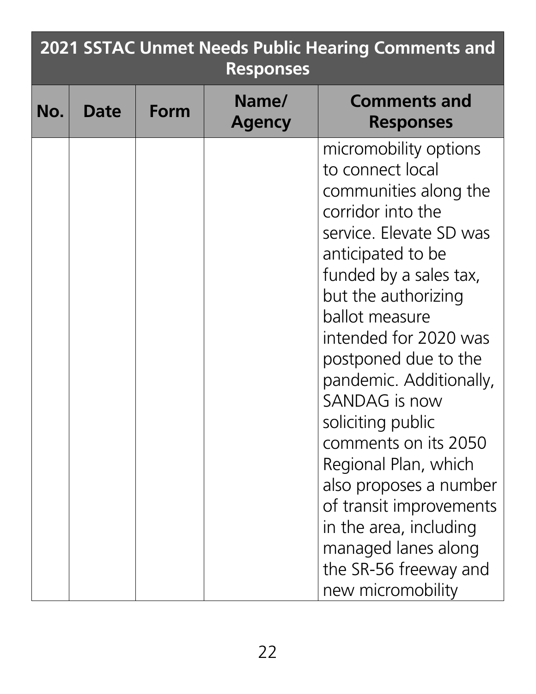| <b>2021 SSTAC Unmet Needs Public Hearing Comments and</b><br><b>Responses</b> |      |      |                        |                                                                                                                                                                                                                                                                                                                                                                                                                                                                                                                                  |  |  |  |
|-------------------------------------------------------------------------------|------|------|------------------------|----------------------------------------------------------------------------------------------------------------------------------------------------------------------------------------------------------------------------------------------------------------------------------------------------------------------------------------------------------------------------------------------------------------------------------------------------------------------------------------------------------------------------------|--|--|--|
| No.                                                                           | Date | Form | Name/<br><b>Agency</b> | <b>Comments and</b><br><b>Responses</b>                                                                                                                                                                                                                                                                                                                                                                                                                                                                                          |  |  |  |
|                                                                               |      |      |                        | micromobility options<br>to connect local<br>communities along the<br>corridor into the<br>service. Elevate SD was<br>anticipated to be<br>funded by a sales tax,<br>but the authorizing<br>ballot measure<br>intended for 2020 was<br>postponed due to the<br>pandemic. Additionally,<br>SANDAG is now<br>soliciting public<br>comments on its 2050<br>Regional Plan, which<br>also proposes a number<br>of transit improvements<br>in the area, including<br>managed lanes along<br>the SR-56 freeway and<br>new micromobility |  |  |  |